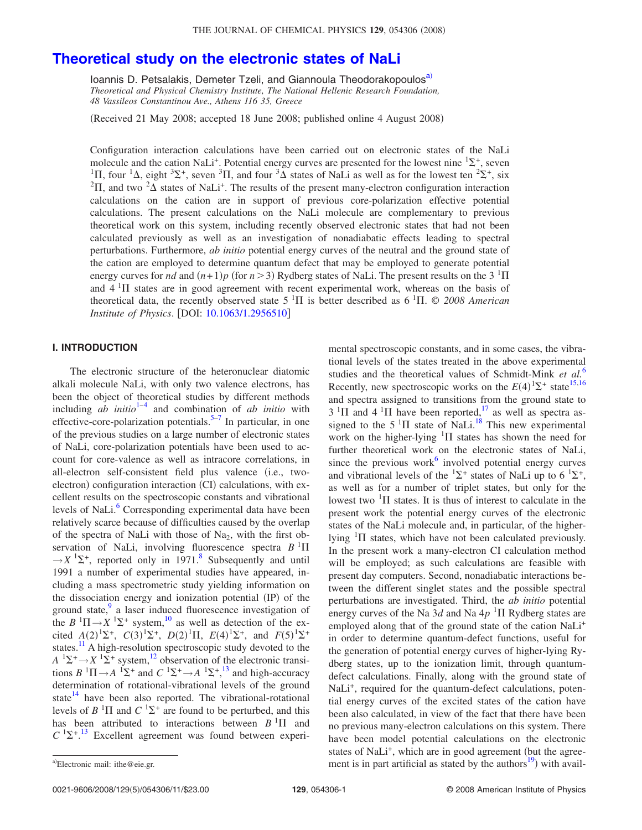# **[Theoretical study on the electronic states of NaLi](http://dx.doi.org/10.1063/1.2956510)**

Ioannis D. Pet[sa](#page-0-0)lakis, Demeter Tzeli, and Giannoula Theodorakopoulos<sup>a)</sup> *Theoretical and Physical Chemistry Institute, The National Hellenic Research Foundation, 48 Vassileos Constantinou Ave., Athens 116 35, Greece*

Received 21 May 2008; accepted 18 June 2008; published online 4 August 2008-

Configuration interaction calculations have been carried out on electronic states of the NaLi molecule and the cation NaLi<sup>+</sup>. Potential energy curves are presented for the lowest nine  ${}^{1}\Sigma^{+}$ , seven <sup>1</sup>II, four <sup>1</sup> $\Delta$ , eight <sup>3</sup> $\Sigma^+$ , seven <sup>3</sup>II, and four <sup>3</sup> $\Delta$  states of NaLi as well as for the lowest ten <sup>2</sup> $\Sigma^+$ , six <sup>2</sup>II, and two <sup>2</sup> $\Delta$  states of NaLi<sup>+</sup>. The results of the present many-electron configuration interaction calculations on the cation are in support of previous core-polarization effective potential calculations. The present calculations on the NaLi molecule are complementary to previous theoretical work on this system, including recently observed electronic states that had not been calculated previously as well as an investigation of nonadiabatic effects leading to spectral perturbations. Furthermore, *ab initio* potential energy curves of the neutral and the ground state of the cation are employed to determine quantum defect that may be employed to generate potential energy curves for *nd* and  $(n+1)p$  (for  $n > 3$ ) Rydberg states of NaLi. The present results on the 3 <sup>1</sup> $\Pi$ and  $4~^1\Pi$  states are in good agreement with recent experimental work, whereas on the basis of theoretical data, the recently observed state  $5<sup>1</sup>\Pi$  is better described as  $6<sup>1</sup>\Pi$ . © 2008 American *Institute of Physics.* [DOI: [10.1063/1.2956510](http://dx.doi.org/10.1063/1.2956510)]

# **I. INTRODUCTION**

The electronic structure of the heteronuclear diatomic alkali molecule NaLi, with only two valence electrons, has been the object of theoretical studies by different methods including  $ab$  *initio*<sup>[1](#page-9-0)[–4](#page-9-1)</sup> and combination of  $ab$  *initio* with effective-core-polarization potentials.<sup>5[–7](#page-9-3)</sup> In particular, in one of the previous studies on a large number of electronic states of NaLi, core-polarization potentials have been used to account for core-valence as well as intracore correlations, in all-electron self-consistent field plus valence (i.e., twoelectron) configuration interaction (CI) calculations, with excellent results on the spectroscopic constants and vibrational levels of NaLi.<sup>6</sup> Corresponding experimental data have been relatively scarce because of difficulties caused by the overlap of the spectra of NaLi with those of Na<sub>2</sub>, with the first observation of NaLi, involving fluorescence spectra  $B$ <sup>1</sup> $\Pi$  $\rightarrow$ *X* <sup>1</sup> $\Sigma$ <sup>+</sup>, reported only in 1971.<sup>8</sup> Subsequently and until 1991 a number of experimental studies have appeared, including a mass spectrometric study yielding information on the dissociation energy and ionization potential (IP) of the ground state, $9$  a laser induced fluorescence investigation of the  $B^{-1}\Pi \rightarrow X^{-1}\Sigma^+$  system,<sup>10</sup> as well as detection of the excited  $A(2)^{1}\Sigma^{+}$ ,  $C(3)^{1}\Sigma^{+}$ ,  $D(2)^{1}\Pi$ ,  $E(4)^{1}\Sigma^{+}$ , and  $F(5)^{1}\Sigma^{+}$ states[.11](#page-10-3) A high-resolution spectroscopic study devoted to the  $A^{-1}\Sigma^+ \rightarrow X^{-1}\Sigma^+$  system,<sup>12</sup> observation of the electronic transitions  $B^{-1}\Pi \rightarrow A^{-1}\Sigma^+$  and  $C^{-1}\Sigma^+ \rightarrow A^{-1}\Sigma^+$ ,<sup>[13](#page-10-5)</sup> and high-accuracy determination of rotational-vibrational levels of the ground state $^{14}$  have been also reported. The vibrational-rotational levels of  $B$  <sup>1</sup> $\Pi$  and  $C$  <sup>1</sup> $\Sigma$ <sup>+</sup> are found to be perturbed, and this has been attributed to interactions between  $B<sup>1</sup>\Pi$  and  $C^{1}\Sigma^{+.13}$  $C^{1}\Sigma^{+.13}$  $C^{1}\Sigma^{+.13}$  Excellent agreement was found between experi-

mental spectroscopic constants, and in some cases, the vibrational levels of the states treated in the above experimental studies and the theoretical values of Schmidt-Mink *et al.*[6](#page-9-4) Recently, new spectroscopic works on the  $E(4)$ <sup>1</sup> $\Sigma^+$  state<sup>15[,16](#page-10-8)</sup> and spectra assigned to transitions from the ground state to  $3 \text{ }^{1}\Pi$  and  $4 \text{ }^{1}\Pi$  have been reported,<sup>17</sup> as well as spectra assigned to the  $5<sup>1</sup>\Pi$  state of NaLi.<sup>18</sup> This new experimental work on the higher-lying  $\frac{1}{1}$  states has shown the need for further theoretical work on the electronic states of NaLi, since the previous work $6$  involved potential energy curves and vibrational levels of the  ${}^{1}\Sigma^{+}$  states of NaLi up to 6  ${}^{1}\Sigma^{+}$ , as well as for a number of triplet states, but only for the lowest two  $\mathrm{^{1}}\Pi$  states. It is thus of interest to calculate in the present work the potential energy curves of the electronic states of the NaLi molecule and, in particular, of the higherlying  $\mathrm{^{1}}\Pi$  states, which have not been calculated previously. In the present work a many-electron CI calculation method will be employed; as such calculations are feasible with present day computers. Second, nonadiabatic interactions between the different singlet states and the possible spectral perturbations are investigated. Third, the *ab initio* potential energy curves of the Na  $3d$  and Na  $4p$ <sup>1</sup> $\Pi$  Rydberg states are employed along that of the ground state of the cation NaLi<sup>+</sup> in order to determine quantum-defect functions, useful for the generation of potential energy curves of higher-lying Rydberg states, up to the ionization limit, through quantumdefect calculations. Finally, along with the ground state of NaLi<sup>+</sup>, required for the quantum-defect calculations, potential energy curves of the excited states of the cation have been also calculated, in view of the fact that there have been no previous many-electron calculations on this system. There have been model potential calculations on the electronic states of NaLi<sup>+</sup>, which are in good agreement (but the agreea)Electronic mail: ithe@eie.gr. ment is in part artificial as stated by the authors<sup>19</sup>) with avail-

0021-9606/2008/129(5)/054306/11/\$23.00

<span id="page-0-0"></span>Electronic mail: ithe@eie.gr.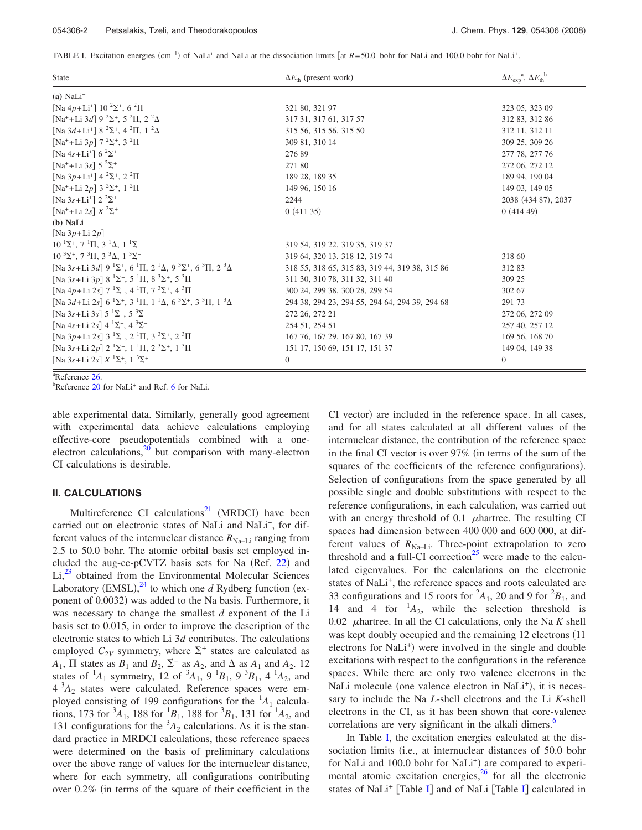<span id="page-1-0"></span>TABLE I. Excitation energies (cm<sup>-1</sup>) of NaLi<sup>+</sup> and NaLi at the dissociation limits [at *R*=50.0 bohr for NaLi and 100.0 bohr for NaLi<sup>+</sup>.

| <b>State</b>                                                                                                                                            | $\Delta E_{\text{th}}$ (present work)          | $\Delta E_{\text{exp}}^{\text{a}}$ , $\Delta E_{\text{th}}^{\text{b}}$ |
|---------------------------------------------------------------------------------------------------------------------------------------------------------|------------------------------------------------|------------------------------------------------------------------------|
| $(a)$ NaLi <sup>+</sup>                                                                                                                                 |                                                |                                                                        |
| [Na 4p+Li <sup>+</sup> ] 10 <sup>2</sup> $\Sigma$ <sup>+</sup> , 6 <sup>2</sup> $\Pi$                                                                   | 321 80, 321 97                                 | 323 05, 323 09                                                         |
| [Na <sup>+</sup> +Li 3d] $9^{2}\Sigma^{+}$ , 5 <sup>2</sup> II, 2 <sup>2</sup> $\Delta$                                                                 | 317 31, 317 61, 317 57                         | 312 83, 312 86                                                         |
| [Na $3d+Li^+$ ] $8^{2}\Sigma^{+}$ , $4^{2}\Pi$ , $1^{2}\Delta$                                                                                          | 315 56, 315 56, 315 50                         | 312 11, 312 11                                                         |
| $\left[\text{Na}^+ + \text{Li} \ 3p\right]$ 7 $^2\Sigma^+$ , 3 $^2\Pi$                                                                                  | 309 81, 310 14                                 | 309 25, 309 26                                                         |
| [Na 4s+Li <sup>+</sup> ] 6 <sup>2</sup> $\Sigma$ <sup>+</sup>                                                                                           | 27689                                          | 277 78, 277 76                                                         |
| $\lceil Na^+ + Li 3s \rceil 5 \rceil^2 \Sigma^+$                                                                                                        | 271 80                                         | 272 06, 272 12                                                         |
| [Na 3p+Li <sup>+</sup> ] $4^{2}\Sigma^{+}$ , $2^{2}\Pi$                                                                                                 | 189 28, 189 35                                 | 189 94, 190 04                                                         |
| $\lceil Na^+ + Li 2p \rceil$ 3 $^2\Sigma^+$ , 1 $^2\Pi$                                                                                                 | 149 96, 150 16                                 | 149 03, 149 05                                                         |
| [Na 3s+Li <sup>+</sup> ] $2^{2} \Sigma^{+}$                                                                                                             | 2244                                           | 2038 (434 87), 2037                                                    |
| $\lceil \text{Na}^+ + \text{Li} \ 2s \rceil X^2 \Sigma^+$                                                                                               | 0(41135)                                       | 0(41449)                                                               |
| $(b)$ NaLi                                                                                                                                              |                                                |                                                                        |
| $\lceil$ Na 3p+Li 2p $\rceil$                                                                                                                           |                                                |                                                                        |
| $10^{-1}\Sigma^{+}$ , $7^{-1}\Pi$ , $3^{-1}\Delta$ , $1^{-1}\Sigma$                                                                                     | 319 54, 319 22, 319 35, 319 37                 |                                                                        |
| $10^{3} \Sigma^{+}$ , 7 <sup>3</sup> II, 3 <sup>3</sup> $\Delta$ , 1 <sup>3</sup> $\Sigma^{-}$                                                          | 319 64, 320 13, 318 12, 319 74                 | 318 60                                                                 |
| [Na 3s+Li 3d] $9^{1}\Sigma^{+}$ , 6 <sup>1</sup> II, 2 <sup>1</sup> $\Delta$ , 9 <sup>3</sup> $\Sigma^{+}$ , 6 <sup>3</sup> II, 2 <sup>3</sup> $\Delta$ | 318 55, 318 65, 315 83, 319 44, 319 38, 315 86 | 31283                                                                  |
| [Na 3s+Li 3p] $8^{1}\Sigma^{+}$ , 5 <sup>1</sup> II, $8^{3}\Sigma^{+}$ , 5 <sup>3</sup> II                                                              | 311 30, 310 78, 311 32, 311 40                 | 309 25                                                                 |
| [Na 4p+Li 2s] $7 \frac{1}{2}$ , 4 $\frac{1}{1}$ , $7 \frac{3}{2}$ , 4 $\frac{3}{1}$                                                                     | 300 24, 299 38, 300 28, 299 54                 | 302 67                                                                 |
| [Na $3d+Li$ $2s$ ] $6^{1}\Sigma^{+}$ , $3^{1}\Pi$ , $1^{1}\Delta$ , $6^{3}\Sigma^{+}$ , $3^{3}\Pi$ , $1^{3}\Delta$                                      | 294 38, 294 23, 294 55, 294 64, 294 39, 294 68 | 291 73                                                                 |
| $\left[\text{Na}\;3s\text{+}\text{Li}\;3s\right]$ 5 $^{1}\Sigma^{+},$ 5 $^{3}\Sigma^{+}$                                                                | 272 26, 272 21                                 | 272 06, 272 09                                                         |
| [Na 4s+Li 2s] $4^{1}\Sigma^{+}$ , $4^{3}\Sigma^{+}$                                                                                                     | 254 51, 254 51                                 | 257 40, 257 12                                                         |
| [Na 3p+Li 2s] $3^{1}\Sigma^{+}$ , $2^{1}\Pi$ , $3^{3}\Sigma^{+}$ , $2^{3}\Pi$                                                                           | 167 76, 167 29, 167 80, 167 39                 | 169 56, 168 70                                                         |
| [Na 3s+Li 2p] $2^{1}\Sigma^{+}$ , $1^{1}\Pi$ , $2^{3}\Sigma^{+}$ , $1^{3}\Pi$                                                                           | 151 17, 150 69, 151 17, 151 37                 | 149 04, 149 38                                                         |
| [Na 3s+Li 2s] $X$ $^1\Sigma^+$ , $1$ $^3\Sigma^+$                                                                                                       | $\boldsymbol{0}$                               | $\overline{0}$                                                         |

 $a^2$ Reference [26.](#page-10-18)

 ${}^{b}$ Reference [20](#page-10-12) for NaLi<sup>+</sup> and Ref. [6](#page-9-4) for NaLi.

able experimental data. Similarly, generally good agreement with experimental data achieve calculations employing effective-core pseudopotentials combined with a oneelectron calculations, $20$  but comparison with many-electron CI calculations is desirable.

### **II. CALCULATIONS**

Multireference CI calculations $^{21}$  (MRDCI) have been carried out on electronic states of NaLi and NaLi<sup>+</sup>, for different values of the internuclear distance  $R_{\text{Na}-\text{Li}}$  ranging from 2.5 to 50.0 bohr. The atomic orbital basis set employed in-cluded the aug-cc-pCVTZ basis sets for Na (Ref. [22](#page-10-14)) and  $Li<sub>1</sub><sup>23</sup>$  $Li<sub>1</sub><sup>23</sup>$  $Li<sub>1</sub><sup>23</sup>$  obtained from the Environmental Molecular Sciences Laboratory (EMSL), $^{24}$  $^{24}$  $^{24}$  to which one *d* Rydberg function (exponent of 0.0032) was added to the Na basis. Furthermore, it was necessary to change the smallest *d* exponent of the Li basis set to 0.015, in order to improve the description of the electronic states to which Li 3*d* contributes. The calculations employed  $C_{2V}$  symmetry, where  $\Sigma^+$  states are calculated as  $A_1$ ,  $\Pi$  states as  $B_1$  and  $B_2$ ,  $\Sigma^-$  as  $A_2$ , and  $\Delta$  as  $A_1$  and  $A_2$ . 12 states of  ${}^{1}A_1$  symmetry, 12 of  ${}^{3}A_1$ , 9  ${}^{1}B_1$ , 9  ${}^{3}B_1$ , 4  ${}^{1}A_2$ , and  $4^{3}A_{2}$  states were calculated. Reference spaces were employed consisting of 199 configurations for the <sup>1</sup> *A*<sup>1</sup> calculations, 173 for  ${}^{3}A_1$ , 188 for  ${}^{1}B_1$ , 188 for  ${}^{3}B_1$ , 131 for  ${}^{1}A_2$ , and 131 configurations for the  ${}^{3}A_2$  calculations. As it is the standard practice in MRDCI calculations, these reference spaces were determined on the basis of preliminary calculations over the above range of values for the internuclear distance, where for each symmetry, all configurations contributing over  $0.2\%$  (in terms of the square of their coefficient in the

CI vector) are included in the reference space. In all cases, and for all states calculated at all different values of the internuclear distance, the contribution of the reference space in the final CI vector is over  $97\%$  (in terms of the sum of the squares of the coefficients of the reference configurations). Selection of configurations from the space generated by all possible single and double substitutions with respect to the reference configurations, in each calculation, was carried out with an energy threshold of  $0.1$   $\mu$ hartree. The resulting CI spaces had dimension between 400 000 and 600 000, at different values of  $R_{\text{Na}-\text{Li}}$ . Three-point extrapolation to zero threshold and a full-CI correction<sup>25</sup> were made to the calculated eigenvalues. For the calculations on the electronic states of NaLi<sup>+</sup>, the reference spaces and roots calculated are 33 configurations and 15 roots for  $^2A_1$ , 20 and 9 for  $^2B_1$ , and 14 and 4 for  $^1A_2$ , while the selection threshold is 0.02  $\mu$ hartree. In all the CI calculations, only the Na *K* shell was kept doubly occupied and the remaining 12 electrons (11 electrons for NaLi<sup>+</sup>) were involved in the single and double excitations with respect to the configurations in the reference spaces. While there are only two valence electrons in the NaLi molecule (one valence electron in NaLi<sup>+</sup>), it is necessary to include the Na *L*-shell electrons and the Li *K*-shell electrons in the CI, as it has been shown that core-valence correlations are very significant in the alkali dimers.<sup>6</sup>

In Table [I,](#page-1-0) the excitation energies calculated at the dissociation limits (i.e., at internuclear distances of 50.0 bohr for NaLi and 100.0 bohr for NaLi<sup>+</sup>) are compared to experimental atomic excitation energies, $^{26}$  for all the electronic states of NaLi<sup>+</sup> [Table [I](#page-1-0)] and of NaLi [Table I] calculated in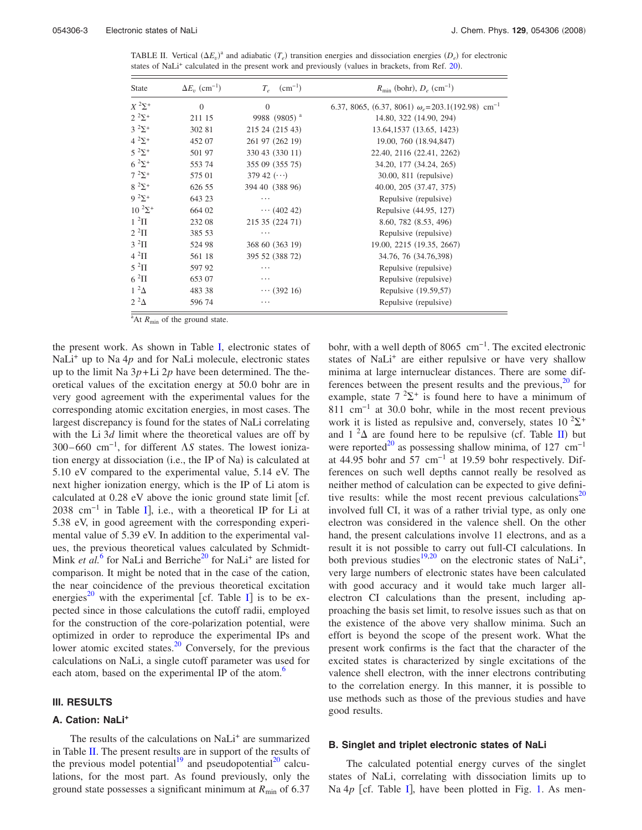<span id="page-2-0"></span>TABLE II. Vertical  $(\Delta E_v)^a$  and adiabatic  $(T_e)$  transition energies and dissociation energies  $(D_e)$  for electronic states of NaLi<sup>+</sup> calculated in the present work and previously (values in brackets, from Ref. [20](#page-10-12)).

| <b>State</b>        | $\Delta E_v$ (cm <sup>-1</sup> ) | $(cm^{-1})$<br>$T_e$     | $R_{\text{min}}$ (bohr), $D_e$ (cm <sup>-1</sup> )                  |
|---------------------|----------------------------------|--------------------------|---------------------------------------------------------------------|
| $X$ $^2\Sigma^+$    | $\Omega$                         | $\Omega$                 | 6.37, 8065, (6.37, 8061) $\omega_e$ =203.1(192.98) cm <sup>-1</sup> |
| $2^{2}\Sigma^{+}$   | 211 15                           | 9988 (9805) <sup>a</sup> | 14.80, 322 (14.90, 294)                                             |
| $3^{2} \Sigma^{+}$  | 302 81                           | 215 24 (215 43)          | 13.64, 1537 (13.65, 1423)                                           |
| $4^{2}\Sigma^{+}$   | 452 07                           | 261 97 (262 19)          | 19.00, 760 (18.94,847)                                              |
| $5^{2} \Sigma^{+}$  | 501 97                           | 330 43 (330 11)          | 22.40, 2116 (22.41, 2262)                                           |
| $6^{2} \Sigma^{+}$  | 553 74                           | 355 09 (355 75)          | 34.20, 177 (34.24, 265)                                             |
| $7^{2} \Sigma^{+}$  | 575 01                           | 379 42 $(\cdots)$        | 30.00, 811 (repulsive)                                              |
| $8^{2} \Sigma^{+}$  | 626 55                           | 394 40 (388 96)          | 40.00, 205 (37.47, 375)                                             |
| $9^{2} \Sigma^{+}$  | 643 23                           | .                        | Repulsive (repulsive)                                               |
| $10^{2} \Sigma^{+}$ | 664 02                           | $\cdots$ (402.42)        | Repulsive (44.95, 127)                                              |
| $1^2\Pi$            | 232 08                           | 215 35 (224 71)          | 8.60, 782 (8.53, 496)                                               |
| $2~^2\Pi$           | 385 53                           | .                        | Repulsive (repulsive)                                               |
| $3~^2\Pi$           | 524 98                           | 368 60 (363 19)          | 19.00, 2215 (19.35, 2667)                                           |
| $4~^2\Pi$           | 561 18                           | 395 52 (388 72)          | 34.76, 76 (34.76,398)                                               |
| $5~^2\Pi$           | 597 92                           | .                        | Repulsive (repulsive)                                               |
| $6~^2\Pi$           | 653 07                           | $\cdots$                 | Repulsive (repulsive)                                               |
| $1^2\Delta$         | 483 38                           | $\cdots$ (392 16)        | Repulsive (19.59,57)                                                |
| $2^2\Delta$         | 596 74                           | $\cdots$                 | Repulsive (repulsive)                                               |

<sup>a</sup>At *R*<sub>min</sub> of the ground state.

the present work. As shown in Table [I,](#page-1-0) electronic states of NaLi<sup>+</sup> up to Na 4p and for NaLi molecule, electronic states up to the limit Na  $3p+Li 2p$  have been determined. The theoretical values of the excitation energy at 50.0 bohr are in very good agreement with the experimental values for the corresponding atomic excitation energies, in most cases. The largest discrepancy is found for the states of NaLi correlating with the Li 3*d* limit where the theoretical values are off by 300–660 cm<sup>-1</sup>, for different *AS* states. The lowest ionization energy at dissociation (i.e., the IP of Na) is calculated at 5.10 eV compared to the experimental value, 5.14 eV. The next higher ionization energy, which is the IP of Li atom is calculated at  $0.28$  eV above the ionic ground state limit [cf. 2038 cm<sup>-1</sup> in Table [I](#page-1-0)], i.e., with a theoretical IP for Li at 5.38 eV, in good agreement with the corresponding experimental value of 5.39 eV. In addition to the experimental values, the previous theoretical values calculated by Schmidt-Mink *et al.*<sup>[6](#page-9-4)</sup> for NaLi and Berriche<sup>20</sup> for NaLi<sup>+</sup> are listed for comparison. It might be noted that in the case of the cation, the near coincidence of the previous theoretical excitation energies<sup>20</sup> with the experimental [cf. Table [I](#page-1-0)] is to be expected since in those calculations the cutoff radii, employed for the construction of the core-polarization potential, were optimized in order to reproduce the experimental IPs and lower atomic excited states.<sup>20</sup> Conversely, for the previous calculations on NaLi, a single cutoff parameter was used for each atom, based on the experimental IP of the atom.<sup>6</sup>

#### **III. RESULTS**

### **A. Cation: NaLi<sup>+</sup>**

The results of the calculations on NaLi<sup>+</sup> are summarized in Table [II.](#page-2-0) The present results are in support of the results of the previous model potential<sup>19</sup> and pseudopotential<sup>20</sup> calculations, for the most part. As found previously, only the ground state possesses a significant minimum at  $R_{\text{min}}$  of 6.37 bohr, with a well depth of 8065 cm−1. The excited electronic states of NaLi<sup>+</sup> are either repulsive or have very shallow minima at large internuclear distances. There are some differences between the present results and the previous, $^{20}$  for example, state  $7 \,^2\Sigma^+$  is found here to have a minimum of 811 cm−1 at 30.0 bohr, while in the most recent previous work it is listed as repulsive and, conversely, states  $10^{2} \Sigma^{+}$ and  $1^2\Delta$  are found here to be repulsive (cf. Table [II](#page-2-0)) but were reported<sup>20</sup> as possessing shallow minima, of 127 cm<sup>-1</sup> at 44.95 bohr and 57 cm<sup>-1</sup> at 19.59 bohr respectively. Differences on such well depths cannot really be resolved as neither method of calculation can be expected to give definitive results: while the most recent previous calculations<sup>20</sup> involved full CI, it was of a rather trivial type, as only one electron was considered in the valence shell. On the other hand, the present calculations involve 11 electrons, and as a result it is not possible to carry out full-CI calculations. In both previous studies<sup>19,[20](#page-10-12)</sup> on the electronic states of NaLi<sup>+</sup>, very large numbers of electronic states have been calculated with good accuracy and it would take much larger allelectron CI calculations than the present, including approaching the basis set limit, to resolve issues such as that on the existence of the above very shallow minima. Such an effort is beyond the scope of the present work. What the present work confirms is the fact that the character of the excited states is characterized by single excitations of the valence shell electron, with the inner electrons contributing to the correlation energy. In this manner, it is possible to use methods such as those of the previous studies and have good results.

#### **B. Singlet and triplet electronic states of NaLi**

The calculated potential energy curves of the singlet states of NaLi, correlating with dissociation limits up to Na  $4p$  [cf. Table [I](#page-1-0)], have been plotted in Fig. [1.](#page-3-0) As men-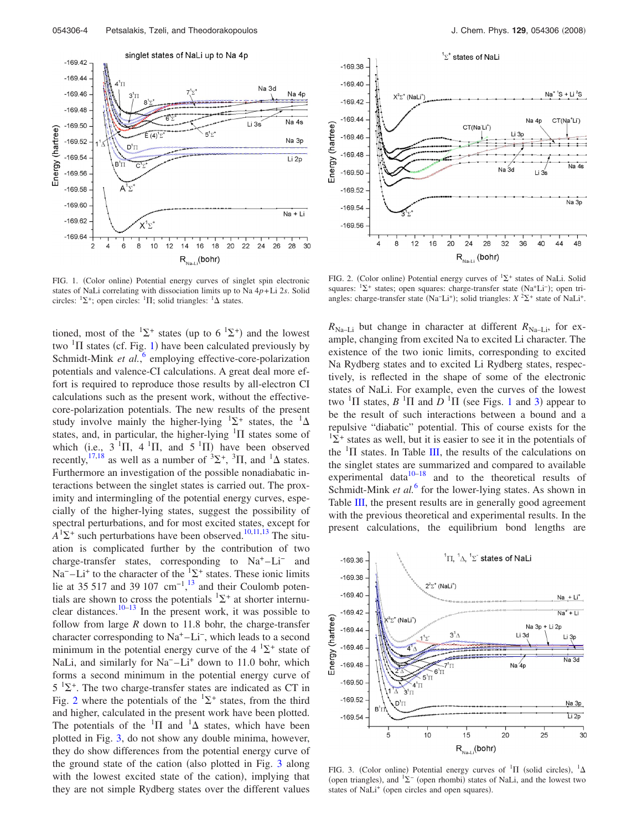<span id="page-3-0"></span>

FIG. 1. (Color online) Potential energy curves of singlet spin electronic states of NaLi correlating with dissociation limits up to Na 4*p*+Li 2*s*. Solid circles:  ${}^{1}\Sigma^{+}$ ; open circles:  ${}^{1}\Pi$ ; solid triangles:  ${}^{1}\Delta$  states.

tioned, most of the  ${}^{1}\Sigma^{+}$  states (up to 6  ${}^{1}\Sigma^{+}$ ) and the lowest two  ${}^{1}\Pi$  ${}^{1}\Pi$  ${}^{1}\Pi$  states (cf. Fig. 1) have been calculated previously by Schmidt-Mink et al.,<sup>[6](#page-9-4)</sup> employing effective-core-polarization potentials and valence-CI calculations. A great deal more effort is required to reproduce those results by all-electron CI calculations such as the present work, without the effectivecore-polarization potentials. The new results of the present study involve mainly the higher-lying  ${}^{1}\Sigma^{+}$  states, the  ${}^{1}\Delta$ states, and, in particular, the higher-lying  ${}^{1}\Pi$  states some of which (i.e.,  $3 \text{ }^1\Pi$ ,  $4 \text{ }^1\Pi$ , and  $5 \text{ }^1\Pi$ ) have been observed recently,  $^{17,18}$  $^{17,18}$  $^{17,18}$  as well as a number of  $^{3}\Sigma^{+}$ ,  $^{3}\Pi$ , and  $^{1}\Delta$  states. Furthermore an investigation of the possible nonadiabatic interactions between the singlet states is carried out. The proximity and intermingling of the potential energy curves, especially of the higher-lying states, suggest the possibility of spectral perturbations, and for most excited states, except for  $A<sup>1</sup>\Sigma$ <sup>+</sup> such perturbations have been observed.<sup>10,[11,](#page-10-3)[13](#page-10-5)</sup> The situation is complicated further by the contribution of two charge-transfer states, corresponding to  $Na<sup>+</sup>-Li<sup>-</sup>$  and Na<sup>-</sup> $-Li<sup>+</sup>$  to the character of the <sup>1</sup> $\Sigma$ <sup>+</sup> states. These ionic limits lie at 35 517 and 39 107 cm<sup>-1,[13](#page-10-5)</sup> and their Coulomb potentials are shown to cross the potentials  ${}^{1}\Sigma^{+}$  at shorter internu-clear distances.<sup>10[–13](#page-10-5)</sup> In the present work, it was possible to follow from large *R* down to 11.8 bohr, the charge-transfer character corresponding to Na+ –Li−, which leads to a second minimum in the potential energy curve of the  $4 \text{ }^{1}\Sigma^{+}$  state of NaLi, and similarly for Na<sup>-</sup>-Li<sup>+</sup> down to 11.0 bohr, which forms a second minimum in the potential energy curve of  $5^{1}\Sigma^{+}$ . The two charge-transfer states are indicated as CT in Fig. [2](#page-3-1) where the potentials of the  ${}^{1}\Sigma^{+}$  states, from the third and higher, calculated in the present work have been plotted. The potentials of the  ${}^{1}\Pi$  and  ${}^{1}\Delta$  states, which have been plotted in Fig. [3,](#page-3-2) do not show any double minima, however, they do show differences from the potential energy curve of the ground state of the cation (also plotted in Fig. [3](#page-3-2) along with the lowest excited state of the cation), implying that they are not simple Rydberg states over the different values

<span id="page-3-1"></span>

FIG. 2. (Color online) Potential energy curves of  ${}^{1}\Sigma^{+}$  states of NaLi. Solid squares: <sup>1</sup>∑<sup>+</sup> states; open squares: charge-transfer state (Na<sup>+</sup>Li<sup>-</sup>); open triangles: charge-transfer state (Na<sup>−</sup>Li<sup>+</sup>); solid triangles:  $X^2\Sigma^+$  state of NaLi<sup>+</sup>.

 $R_{\text{Na}-\text{Li}}$  but change in character at different  $R_{\text{Na}-\text{Li}}$ , for example, changing from excited Na to excited Li character. The existence of the two ionic limits, corresponding to excited Na Rydberg states and to excited Li Rydberg states, respectively, is reflected in the shape of some of the electronic states of NaLi. For example, even the curves of the lowest two  ${}^{1}\Pi$  ${}^{1}\Pi$  ${}^{1}\Pi$  states,  $B$   ${}^{1}\Pi$  and  $D$   ${}^{1}\Pi$  (see Figs. 1 and [3](#page-3-2)) appear to be the result of such interactions between a bound and a repulsive "diabatic" potential. This of course exists for the  $1\Sigma^+$  states as well, but it is easier to see it in the potentials of the  ${}^{1}\Pi$  states. In Table [III,](#page-4-0) the results of the calculations on the singlet states are summarized and compared to available experimental data $10-18$  $10-18$  and to the theoretical results of Schmidt-Mink *et al.*<sup>[6](#page-9-4)</sup> for the lower-lying states. As shown in Table [III,](#page-4-0) the present results are in generally good agreement with the previous theoretical and experimental results. In the present calculations, the equilibrium bond lengths are

<span id="page-3-2"></span>

FIG. 3. (Color online) Potential energy curves of  ${}^{1}\Pi$  (solid circles),  ${}^{1}\Delta$ (open triangles), and  ${}^{1}\Sigma^{-}$  (open rhombi) states of NaLi, and the lowest two states of NaLi<sup>+</sup> (open circles and open squares).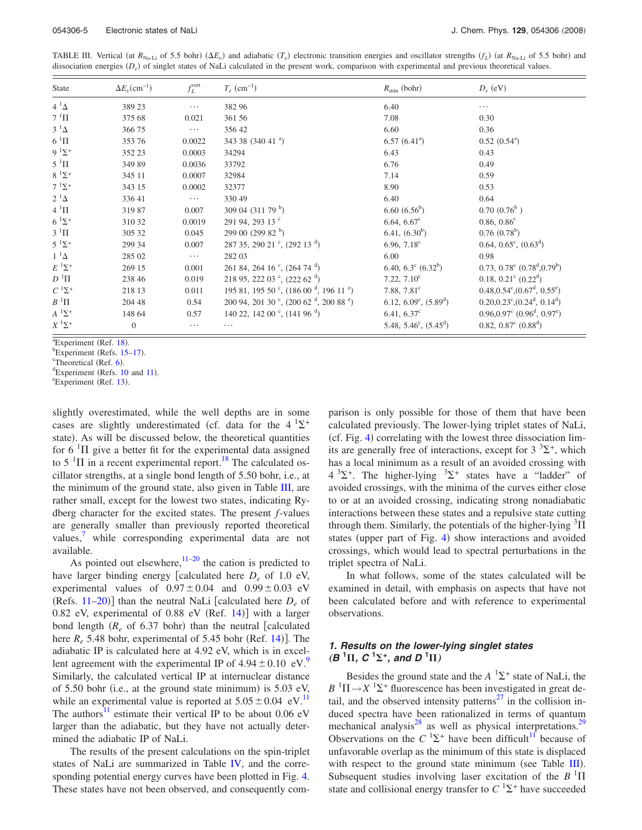<span id="page-4-0"></span>TABLE III. Vertical (at  $R_{\text{Na-Li}}$  of 5.5 bohr) ( $\Delta E_v$ ) and adiabatic  $(T_e)$  electronic transition energies and oscillator strengths  $(f_L)$  (at  $R_{\text{Na-Li}}$  of 5.5 bohr) and dissociation energies (D<sub>e</sub>) of singlet states of NaLi calculated in the present work, comparison with experimental and previous theoretical values.

| State              | $\Delta E_v$ (cm <sup>-1</sup> ) | $f_L^{\text{vert}}$ | $T_e$ (cm <sup>-1</sup> )                                         | $R_{\min}$ (bohr)                         | $D_e$ (eV)                                                    |
|--------------------|----------------------------------|---------------------|-------------------------------------------------------------------|-------------------------------------------|---------------------------------------------------------------|
| $4^1\Delta$        | 389 23                           | $\cdots$            | 382 96                                                            | 6.40                                      | $\cdots$                                                      |
| $7~^1\Pi$          | 375 68                           | 0.021               | 361 56                                                            | 7.08                                      | 0.30                                                          |
| $3^1\Delta$        | 366 75                           | $\cdots$            | 356 42                                                            | 6.60                                      | 0.36                                                          |
| $6~^1\Pi$          | 353 76                           | 0.0022              | 343 38 $(340 \ 41)^a$                                             | $6.57(6.41^{\circ})$                      | $0.52(0.54^{\circ})$                                          |
| $9^{1} \Sigma^{+}$ | 352 23                           | 0.0003              | 34294                                                             | 6.43                                      | 0.43                                                          |
| $5~^1\Pi$          | 349 89                           | 0.0036              | 33792                                                             | 6.76                                      | 0.49                                                          |
| $8~^1\Sigma^+$     | 345 11                           | 0.0007              | 32984                                                             | 7.14                                      | 0.59                                                          |
| $7 \frac{1}{2}$    | 343 15                           | 0.0002              | 32377                                                             | 8.90                                      | 0.53                                                          |
| $2^1\Delta$        | 336 41                           | $\cdots$            | 330 49                                                            | 6.40                                      | 0.64                                                          |
| $4~^1\Pi$          | 31987                            | 0.007               | 309 04 $(311\ 79\ ^{b})$                                          | $6.60~(6.56^b)$                           | $0.70~(0.76^b)$                                               |
| $6^{1} \Sigma^{+}$ | 310 32                           | 0.0019              | 291 94, 293 13 °                                                  | 6.64, $6.67^c$                            | $0.86, 0.86^c$                                                |
| $3^1\Pi$           | 305 32                           | 0.045               | 299 00 (299 82 $^{\rm b}$ )                                       | 6.41, (6.30 <sup>b</sup> )                | $0.76(0.78^b)$                                                |
| $5^{1} \Sigma^{+}$ | 299 34                           | 0.007               | $287$ 35, 290 21 °, (292 13 <sup>d</sup> )                        | 6.96, $7.18^{\circ}$                      | $0.64, 0.65^{\circ}, (0.63^{\circ})$                          |
| $1^{-1}\Delta$     | 285 02                           | $\cdots$            | 282 03                                                            | 6.00                                      | 0.98                                                          |
| $E^1\Sigma^+$      | 269 15                           | 0.001               | 261 84, 264 16 °, (264 74 $^{\rm d}$ )                            | 6.40, 6.3 $^{\circ}$ (6.32 <sup>b</sup> ) | 0.73, $0.78^{\circ}$ (0.78 <sup>d</sup> , 0.79 <sup>b</sup> ) |
| $D$ $^1\Pi$        | 238 46                           | 0.019               | 218 95, 222 03 $\degree$ , (222 62 $\degree$ )                    | 7.22, $7.10^{\circ}$                      | 0.18, $0.21^{\circ}$ (0.22 <sup>d</sup> )                     |
| $C^{1}\Sigma^{+}$  | 218 13                           | 0.011               | 195 81, 195 50 $\degree$ , (186 00 $\degree$ , 196 11 $\degree$ ) | 7.88, $7.81^{\circ}$                      | $0.48, 0.54^{\circ}, (0.67^{\circ}, 0.55^{\circ})$            |
| $B^1\Pi$           | 204 48                           | 0.54                | 200 94, 201 30 $\degree$ , (200 62 $\degree$ , 200 88 $\degree$ ) | 6.12, 6.09 <sup>c</sup> , $(5.89^d)$      | $0.20, 0.23^{\circ}, (0.24^{\circ}, 0.14^{\circ})$            |
| $A^1\Sigma^+$      | 148 64                           | 0.57                | 140 22, 142 00 $\degree$ , (141 96 $\degree$ )                    | 6.41, $6.37^c$                            | $0.96, 0.97^{\circ}$ $(0.96^{\circ}, 0.97^{\circ})$           |
| $X$ $^1\Sigma^+$   | $\theta$                         | $\cdots$            |                                                                   | 5.48, 5.46 <sup>c</sup> , $(5.45^d)$      | 0.82, $0.87^c$ $(0.88^d)$                                     |

 $\frac{1}{2}$ Experiment (Ref. [18](#page-10-10)).

 ${}^{\circ}$ Experiment (Refs. [15–](#page-10-7)[17](#page-10-9)).

 ${}^{\text{c}}$ Theoretical (Ref. [6](#page-9-4)).

<sup>d</sup>Experiment (Refs. [10](#page-10-2) and [11](#page-10-3)).

Experiment (Ref. [13](#page-10-5)).

slightly overestimated, while the well depths are in some cases are slightly underestimated (cf. data for the  $4^{1}\Sigma^{+}$ state). As will be discussed below, the theoretical quantities for 6  $\mathrm{^{1}}\Pi$  give a better fit for the experimental data assigned to 5<sup>1</sup> $\Pi$  in a recent experimental report.<sup>18</sup> The calculated oscillator strengths, at a single bond length of 5.50 bohr, i.e., at the minimum of the ground state, also given in Table [III,](#page-4-0) are rather small, except for the lowest two states, indicating Rydberg character for the excited states. The present *f*-values are generally smaller than previously reported theoretical values,<sup>[7](#page-9-3)</sup> while corresponding experimental data are not available.

As pointed out elsewhere,  $11-20$  $11-20$  the cation is predicted to have larger binding energy [calculated here  $D_e$  of 1.0 eV, experimental values of  $0.97 \pm 0.04$  and  $0.99 \pm 0.03$  eV (Refs.  $11-20$  $11-20$ ) than the neutral NaLi [calculated here  $D_e$  of  $0.82$  eV, experimental of  $0.88$  eV (Ref. [14](#page-10-6))] with a larger bond length  $(R_e \text{ of } 6.37 \text{ bohr})$  than the neutral [calculated here  $R_e$  5.48 bohr, experimental of 5.45 bohr (Ref. [14](#page-10-6))]. The adiabatic IP is calculated here at 4.92 eV, which is in excellent agreement with the experimental IP of  $4.94 \pm 0.10$  $4.94 \pm 0.10$  $4.94 \pm 0.10$  eV.<sup>9</sup> Similarly, the calculated vertical IP at internuclear distance of  $5.50$  bohr (i.e., at the ground state minimum) is  $5.03$  eV, while an experimental value is reported at  $5.05 \pm 0.04$  eV.<sup>11</sup> The authors<sup>11</sup> estimate their vertical IP to be about 0.06 eV larger than the adiabatic, but they have not actually determined the adiabatic IP of NaLi.

The results of the present calculations on the spin-triplet states of NaLi are summarized in Table [IV,](#page-5-0) and the corresponding potential energy curves have been plotted in Fig. [4.](#page-5-1) These states have not been observed, and consequently comparison is only possible for those of them that have been calculated previously. The lower-lying triplet states of NaLi, (cf. Fig. [4](#page-5-1)) correlating with the lowest three dissociation limits are generally free of interactions, except for  $3^{3}\Sigma^{+}$ , which has a local minimum as a result of an avoided crossing with  $4^{3}\Sigma^{+}$ . The higher-lying  $3\Sigma^{+}$  states have a "ladder" of avoided crossings, with the minima of the curves either close to or at an avoided crossing, indicating strong nonadiabatic interactions between these states and a repulsive state cutting through them. Similarly, the potentials of the higher-lying  $\mathrm{^{3}H}$ states (upper part of Fig. [4](#page-5-1)) show interactions and avoided crossings, which would lead to spectral perturbations in the triplet spectra of NaLi.

In what follows, some of the states calculated will be examined in detail, with emphasis on aspects that have not been calculated before and with reference to experimental observations.

## *1. Results on the lower-lying singlet states*  $(B<sup>1</sup>\Pi, C<sup>1</sup>\Sigma^{+}, and D<sup>1</sup>\Pi)$

Besides the ground state and the  $A^{-1}\Sigma^{+}$  state of NaLi, the  $B^{-1}\Pi \rightarrow X^{-1}\Sigma^+$  fluorescence has been investigated in great detail, and the observed intensity patterns<sup>27</sup> in the collision induced spectra have been rationalized in terms of quantum mechanical analysis<sup>28</sup> as well as physical interpretations.<sup>29</sup> Observations on the  $C^{1}\Sigma^{+}$  have been difficult<sup>11</sup> because of unfavorable overlap as the minimum of this state is displaced with respect to the ground state minimum (see Table [III](#page-4-0)). Subsequent studies involving laser excitation of the  $B<sup>-1</sup>\Pi$ state and collisional energy transfer to  $C<sup>1</sup>Σ<sup>+</sup>$  have succeeded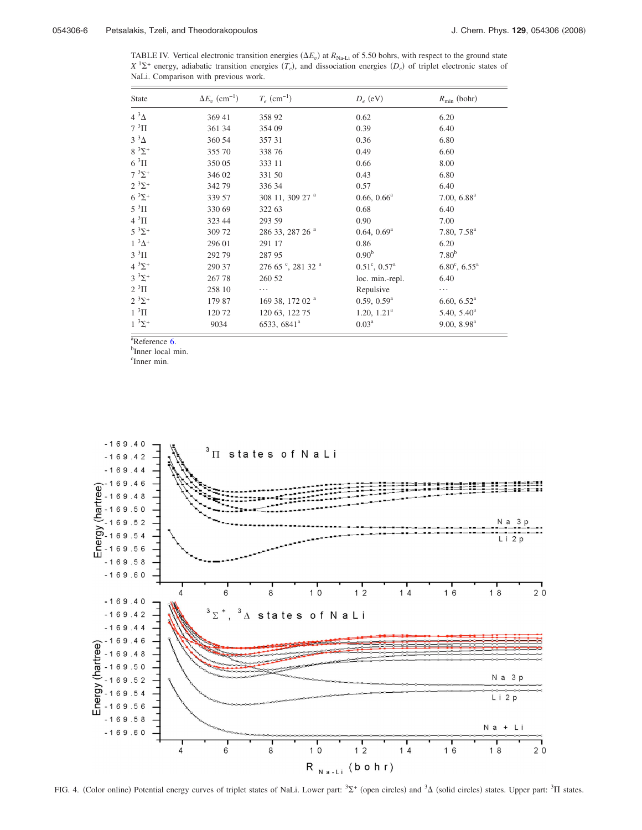<span id="page-5-0"></span>TABLE IV. Vertical electronic transition energies  $(\Delta E_v)$  at  $R_{\text{Na-Li}}$  of 5.50 bohrs, with respect to the ground state  $X$ <sup>1</sup> $\Sigma$ <sup>+</sup> energy, adiabatic transition energies  $(T_e)$ , and dissociation energies  $(D_e)$  of triplet electronic states of NaLi. Comparison with previous work.

| <b>State</b>         | $\Delta E_v$ (cm <sup>-1</sup> ) | $T_e$ (cm <sup>-1</sup> )      | $D_e$ (eV)                   | $R_{\min}$ (bohr)               |
|----------------------|----------------------------------|--------------------------------|------------------------------|---------------------------------|
| $4^3\Delta$          | 369 41                           | 358 92                         | 0.62                         | 6.20                            |
| $7~^3\Pi$            | 361 34                           | 354 09                         | 0.39                         | 6.40                            |
| $3^3\Delta$          | 360 54                           | 357 31                         | 0.36                         | 6.80                            |
| $8 \frac{3}{2}$ +    | 355 70                           | 338 76                         | 0.49                         | 6.60                            |
| $6\,\mathrm{~^3\Pi}$ | 350 05                           | 333 11                         | 0.66                         | 8.00                            |
| $7^{3}\Sigma^{+}$    | 346 02                           | 331 50                         | 0.43                         | 6.80                            |
| $2^{3}\Sigma^{+}$    | 342 79                           | 336 34                         | 0.57                         | 6.40                            |
| $6^{3}\Sigma^{+}$    | 339 57                           | 308 11, 309 27 <sup>a</sup>    | $0.66, 0.66^a$               | 7.00, 6.88 <sup>a</sup>         |
| $5^3\Pi$             | 330 69                           | 322 63                         | 0.68                         | 6.40                            |
| $4~\mathrm{^{3}\Pi}$ | 323 44                           | 293 59                         | 0.90                         | 7.00                            |
| $5^{3} \Sigma^{+}$   | 309 72                           | 286 33, 287 26 <sup>a</sup>    | $0.64, 0.69^{\text{a}}$      | 7.80, 7.58 <sup>a</sup>         |
| $1^3\Delta^+$        | 296 01                           | 291 17                         | 0.86                         | 6.20                            |
| $3^3\Pi$             | 292 79                           | 287 95                         | 0.90 <sup>b</sup>            | 7.80 <sup>b</sup>               |
| $4^{3}\Sigma^{+}$    | 290 37                           | $27665$ °, 281 32 <sup>a</sup> | $0.51^{\circ}, 0.57^{\circ}$ | $6.80^{\circ}$ , $6.55^{\circ}$ |
| $3^{3}\Sigma^{+}$    | 267 78                           | 260 52                         | loc. min.-repl.              | 6.40                            |
| $2^3\Pi$             | 258 10                           | .                              | Repulsive                    | .                               |
| $2^{3}\Sigma^{+}$    | 179 87                           | 169 38, 172 02 <sup>a</sup>    | 0.59, 0.59 <sup>a</sup>      | 6.60, 6.52 <sup>a</sup>         |
| $1~^3\Pi$            | 12072                            | 120 63, 122 75                 | 1.20, 1.21 <sup>a</sup>      | $5.40, 5.40^a$                  |
| $1^{3}\Sigma^{+}$    | 9034                             | 6533, 6841 <sup>a</sup>        | $0.03^{\rm a}$               | 9.00, 8.98 <sup>a</sup>         |

 $a^{\text{R}}$ Reference [6.](#page-9-4)

<sup>b</sup>Inner local min.

c Inner min.

<span id="page-5-1"></span>

FIG. 4. (Color online) Potential energy curves of triplet states of NaLi. Lower part:  ${}^{3}\Sigma^{+}$  (open circles) and  ${}^{3}\Delta$  (solid circles) states. Upper part:  ${}^{3}\Pi$  states.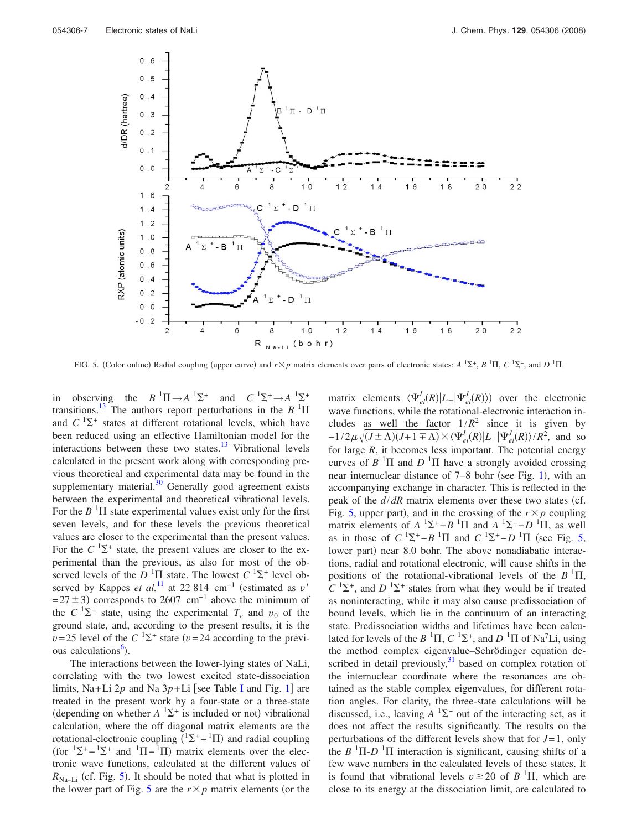<span id="page-6-0"></span>

FIG. 5. (Color online) Radial coupling (upper curve) and  $r \times p$  matrix elements over pairs of electronic states:  $A^{-1}\Sigma^+, B^{-1}\Pi, C^{-1}\Sigma^+,$  and  $D^{-1}\Pi$ .

in observing the  $B^{-1}\Pi \rightarrow A^{-1}\Sigma^+$  and  $C^{-1}\Sigma^+ \rightarrow A^{-1}\Sigma^+$ transitions.<sup>13</sup> The authors report perturbations in the  $B$ <sup>1</sup> $\Pi$ and  $C^{1}\Sigma^{+}$  states at different rotational levels, which have been reduced using an effective Hamiltonian model for the interactions between these two states. $\frac{13}{13}$  Vibrational levels calculated in the present work along with corresponding previous theoretical and experimental data may be found in the supplementary material. $30$  Generally good agreement exists between the experimental and theoretical vibrational levels. For the  $B<sup>-1</sup>$ II state experimental values exist only for the first seven levels, and for these levels the previous theoretical values are closer to the experimental than the present values. For the  $C^{1}\Sigma^{+}$  state, the present values are closer to the experimental than the previous, as also for most of the observed levels of the  $D<sup>-1</sup>\Pi$  state. The lowest  $C<sup>-1</sup>\Sigma^+$  level observed by Kappes *et al.*<sup>[11](#page-10-3)</sup> at 22 814 cm<sup>-1</sup> (estimated as *v*'  $= 27 \pm 3$ ) corresponds to 2607 cm<sup>-1</sup> above the minimum of the  $C^{1}\Sigma^{+}$  state, using the experimental  $T_e$  and  $v_0$  of the ground state, and, according to the present results, it is the  $v = 25$  level of the  $C^{-1} \Sigma^+$  state ( $v = 24$  according to the previous calculations<sup>6</sup>).

The interactions between the lower-lying states of NaLi, correlating with the two lowest excited state-dissociation limits, Na+Li  $2p$  and Na  $3p+Li$  [see Table [I](#page-1-0) and Fig. [1](#page-3-0)] are treated in the present work by a four-state or a three-state (depending on whether  $A^{-1}\Sigma^+$  is included or not) vibrational calculation, where the off diagonal matrix elements are the rotational-electronic coupling  $({}^{1}\Sigma^{+} - {}^{1}\Pi)$  and radial coupling (for  ${}^{1}\Sigma^{+} - {}^{1}\Sigma^{+}$  and  ${}^{1}\Pi - {}^{1}\Pi$ ) matrix elements over the electronic wave functions, calculated at the different values of  $R_{\text{Na-Li}}$  (cf. Fig. [5](#page-6-0)). It should be noted that what is plotted in the lower part of Fig. [5](#page-6-0) are the  $r \times p$  matrix elements (or the

matrix elements  $\langle \Psi_{el}^I(R) | L_{\pm} | \Psi_{el}^J(R) \rangle$  over the electronic wave functions, while the rotational-electronic interaction includes as well the factor  $1/R^2$  since it is given by  $-1/2\mu\sqrt{(J\pm\Lambda)(J+1\mp\Lambda)}\times\langle\Psi_{el}^{J}(R)|L_{\pm}|\Psi_{el}^{J}(R)\rangle/R^2$ , and so for large  $R$ , it becomes less important. The potential energy curves of  $B$  <sup>1</sup> $\Pi$  and  $D$  <sup>1</sup> $\Pi$  have a strongly avoided crossing near internuclear distance of 7–8 bohr (see Fig. [1](#page-3-0)), with an accompanying exchange in character. This is reflected in the peak of the  $d/dR$  matrix elements over these two states (cf. Fig. [5,](#page-6-0) upper part), and in the crossing of the  $r \times p$  coupling matrix elements of  $A^{-1}\Sigma^+ - B^{-1}\Pi$  and  $A^{-1}\Sigma^+ - D^{-1}\Pi$ , as well as in those of  $C^{-1}\Sigma^+ - B^{-1}\Pi$  and  $C^{-1}\Sigma^+ - D^{-1}\Pi$  (see Fig. [5,](#page-6-0) lower part) near 8.0 bohr. The above nonadiabatic interactions, radial and rotational electronic, will cause shifts in the positions of the rotational-vibrational levels of the  $B^{-1}\Pi$ ,  $C^{1}\Sigma^{+}$ , and  $D^{1}\Sigma^{+}$  states from what they would be if treated as noninteracting, while it may also cause predissociation of bound levels, which lie in the continuum of an interacting state. Predissociation widths and lifetimes have been calculated for levels of the  $B<sup>-1</sup>\Pi$ ,  $C<sup>-1</sup>\Sigma^{+}$ , and  $D<sup>-1</sup>\Pi$  of Na<sup>7</sup>Li, using the method complex eigenvalue–Schrödinger equation described in detail previously, $31$  based on complex rotation of the internuclear coordinate where the resonances are obtained as the stable complex eigenvalues, for different rotation angles. For clarity, the three-state calculations will be discussed, i.e., leaving  $A^{-1}\Sigma^+$  out of the interacting set, as it does not affect the results significantly. The results on the perturbations of the different levels show that for *J*= 1, only the  $B$ <sup>1</sup> $\Pi$ - $D$ <sup>1</sup> $\Pi$  interaction is significant, causing shifts of a few wave numbers in the calculated levels of these states. It is found that vibrational levels  $v \ge 20$  of  $B<sup>1</sup>\Pi$ , which are close to its energy at the dissociation limit, are calculated to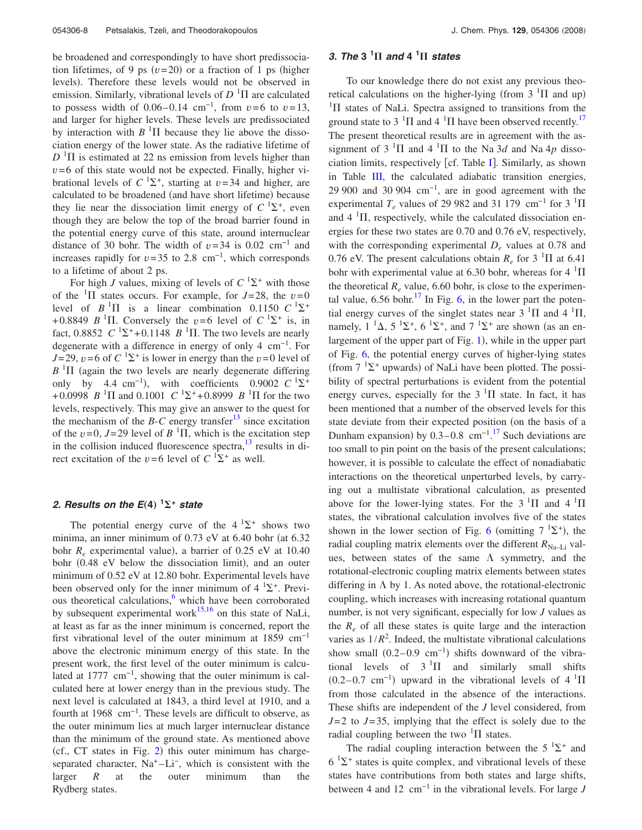be broadened and correspondingly to have short predissociation lifetimes, of 9 ps  $(v=20)$  or a fraction of 1 ps (higher levels). Therefore these levels would not be observed in emission. Similarly, vibrational levels of  $D<sup>-1</sup>\Pi$  are calculated to possess width of  $0.06-0.14$  cm<sup>-1</sup>, from  $v=6$  to  $v=13$ , and larger for higher levels. These levels are predissociated by interaction with  $B<sup>-1</sup>\Pi$  because they lie above the dissociation energy of the lower state. As the radiative lifetime of  $D<sup>-1</sup>$ II is estimated at 22 ns emission from levels higher than  $v=6$  of this state would not be expected. Finally, higher vibrational levels of  $C^{1}\Sigma^{+}$ , starting at  $v=34$  and higher, are calculated to be broadened (and have short lifetime) because they lie near the dissociation limit energy of  $C^{1}\Sigma^{+}$ , even though they are below the top of the broad barrier found in the potential energy curve of this state, around internuclear distance of 30 bohr. The width of  $v=34$  is 0.02 cm<sup>-1</sup> and increases rapidly for  $v=35$  to 2.8 cm<sup>-1</sup>, which corresponds to a lifetime of about 2 ps.

For high *J* values, mixing of levels of  $C \binom{1}{2}$  with those of the <sup>1</sup>II states occurs. For example, for  $J=28$ , the  $v=0$ level of  $B<sup>-1</sup>\Pi$  is a linear combination 0.1150  $C<sup>-1</sup>\Sigma^+$ +0.8849 *B* <sup>1</sup> $\Pi$ . Conversely the *v*=6 level of  $C^{1}\Sigma^{+}$  is, in fact, 0.8852  $C^{-1}\Sigma^+$ +0.1148  $B^{-1}\Pi$ . The two levels are nearly degenerate with a difference in energy of only 4 cm−1. For *J*= 29, *v*=6 of *C* <sup>1</sup> $\Sigma$ <sup>+</sup> is lower in energy than the *v*=0 level of  $B$ <sup>1</sup> $\Pi$  (again the two levels are nearly degenerate differing only by 4.4 cm<sup>-1</sup>), with coefficients 0.9002  $C^{-1}\Sigma^+$ +0.0998 *B* <sup>1</sup> $\Pi$  and 0.1001 *C* <sup>1</sup> $\Sigma$ <sup>+</sup>+0.8999 *B* <sup>1</sup> $\Pi$  for the two levels, respectively. This may give an answer to the quest for the mechanism of the *B*-*C* energy transfer<sup>13</sup> since excitation of the  $v=0$ ,  $J=29$  level of  $B<sup>-1</sup>\Pi$ , which is the excitation step in the collision induced fluorescence spectra, $^{13}$  results in direct excitation of the  $v=6$  level of  $C<sup>1</sup>\Sigma^{+}$  as well.

# 2. Results on the E(4)  $^1\Sigma^+$  state

The potential energy curve of the  $4^{1}\Sigma^{+}$  shows two minima, an inner minimum of  $0.73$  eV at  $6.40$  bohr (at  $6.32$ ) bohr  $R_e$  experimental value), a barrier of 0.25 eV at 10.40 bohr (0.48 eV below the dissociation limit), and an outer minimum of 0.52 eV at 12.80 bohr. Experimental levels have been observed only for the inner minimum of  $4^{1}\Sigma^{+}$ . Previous theoretical calculations, $6$  which have been corroborated by subsequent experimental work $15,16$  $15,16$  on this state of NaLi, at least as far as the inner minimum is concerned, report the first vibrational level of the outer minimum at 1859 cm−1 above the electronic minimum energy of this state. In the present work, the first level of the outer minimum is calculated at 1777  $cm^{-1}$ , showing that the outer minimum is calculated here at lower energy than in the previous study. The next level is calculated at 1843, a third level at 1910, and a fourth at 1968 cm−1. These levels are difficult to observe, as the outer minimum lies at much larger internuclear distance than the minimum of the ground state. As mentioned above  $(cf., CT states in Fig. 2) this outer minimum has charge (cf., CT states in Fig. 2) this outer minimum has charge (cf., CT states in Fig. 2) this outer minimum has charge$ separated character, Na<sup>+</sup>-Li<sup>-</sup>, which is consistent with the larger *R* at the outer minimum than the Rydberg states.

# *3. The* **3 <sup>1</sup>** *and* **4 <sup>1</sup>** *states*

To our knowledge there do not exist any previous theoretical calculations on the higher-lying (from  $3<sup>1</sup>\Pi$  and up)  ${}^{1}\Pi$  states of NaLi. Spectra assigned to transitions from the ground state to 3  $\mathrm{^{1}}\Pi$  and 4  $\mathrm{^{1}}\Pi$  have been observed recently.<sup>17</sup> The present theoretical results are in agreement with the assignment of  $3 \text{ }^{1}\Pi$  and  $4 \text{ }^{1}\Pi$  to the Na 3*d* and Na 4*p* disso-ciation limits, respectively [cf. Table [I](#page-1-0)]. Similarly, as shown in Table [III,](#page-4-0) the calculated adiabatic transition energies, 29 900 and 30 904  $cm^{-1}$ , are in good agreement with the experimental  $T_e$  values of 29 982 and 31 179 cm<sup>-1</sup> for 3 <sup>1</sup> $\Pi$ and  $4 \text{ }^{1}\Pi$ , respectively, while the calculated dissociation energies for these two states are 0.70 and 0.76 eV, respectively, with the corresponding experimental  $D<sub>e</sub>$  values at 0.78 and 0.76 eV. The present calculations obtain  $R_e$  for 3 <sup>1</sup> $\Pi$  at 6.41 bohr with experimental value at 6.30 bohr, whereas for  $4 \text{ }^{1}\Pi$ the theoretical  $R_e$  value, 6.60 bohr, is close to the experimental value,  $6.56$  bohr.<sup>17</sup> In Fig. [6,](#page-8-0) in the lower part the potential energy curves of the singlet states near  $3<sup>1</sup>\Pi$  and  $4<sup>1</sup>\Pi$ , namely,  $1^{-1}\Delta$ ,  $5^{-1}\Sigma^{+}$ ,  $6^{-1}\Sigma^{+}$ , and  $7^{-1}\Sigma^{+}$  are shown (as an en-largement of the upper part of Fig. [1](#page-3-0)), while in the upper part of Fig. [6,](#page-8-0) the potential energy curves of higher-lying states (from  $7 \text{ }^1\Sigma^+$  upwards) of NaLi have been plotted. The possibility of spectral perturbations is evident from the potential energy curves, especially for the  $3<sup>1</sup>\Pi$  state. In fact, it has been mentioned that a number of the observed levels for this state deviate from their expected position (on the basis of a Dunham expansion) by  $0.3-0.8$  cm<sup>-1.[17](#page-10-9)</sup> Such deviations are too small to pin point on the basis of the present calculations; however, it is possible to calculate the effect of nonadiabatic interactions on the theoretical unperturbed levels, by carrying out a multistate vibrational calculation, as presented above for the lower-lying states. For the  $3<sup>1</sup>\Pi$  and  $4<sup>1</sup>\Pi$ states, the vibrational calculation involves five of the states shown in the lower section of Fig. [6](#page-8-0) (omitting  $7 \text{ }^{1}\Sigma^{+}$ ), the radial coupling matrix elements over the different  $R_{\text{Na}-\text{Li}}$  values, between states of the same  $\Lambda$  symmetry, and the rotational-electronic coupling matrix elements between states differing in  $\Lambda$  by 1. As noted above, the rotational-electronic coupling, which increases with increasing rotational quantum number, is not very significant, especially for low *J* values as the  $R_e$  of all these states is quite large and the interaction varies as  $1/R<sup>2</sup>$ . Indeed, the multistate vibrational calculations show small  $(0.2-0.9 \text{ cm}^{-1})$  shifts downward of the vibrational levels of  $3<sup>1</sup>\Pi$  and similarly small shifts  $(0.2-0.7 \text{ cm}^{-1})$  upward in the vibrational levels of  $4 \text{ }^{1}$ II from those calculated in the absence of the interactions. These shifts are independent of the *J* level considered, from  $J=2$  to  $J=35$ , implying that the effect is solely due to the radial coupling between the two  ${}^{1}\Pi$  states.

The radial coupling interaction between the 5  ${}^{1}\Sigma^{+}$  and  $6^{1}\Sigma^{+}$  states is quite complex, and vibrational levels of these states have contributions from both states and large shifts, between 4 and 12 cm−1 in the vibrational levels. For large *J*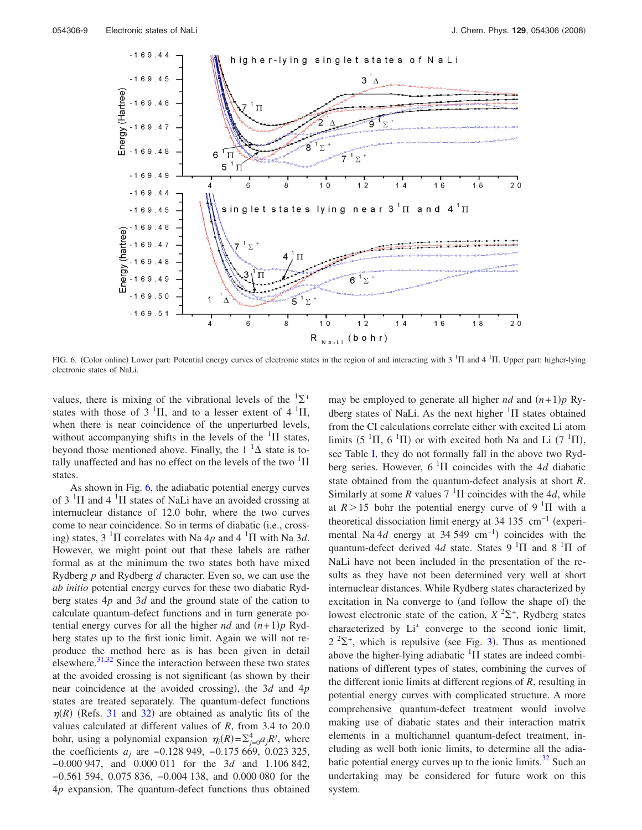<span id="page-8-0"></span>

FIG. 6. (Color online) Lower part: Potential energy curves of electronic states in the region of and interacting with  $3 \text{ } ^1\Pi$  and  $4 \text{ } ^1\Pi$ . Upper part: higher-lying electronic states of NaLi.

values, there is mixing of the vibrational levels of the  ${}^{1}\Sigma^{+}$ states with those of  $3<sup>1</sup>\Pi$ , and to a lesser extent of  $4<sup>1</sup>\Pi$ , when there is near coincidence of the unperturbed levels, without accompanying shifts in the levels of the  ${}^{1}\Pi$  states, beyond those mentioned above. Finally, the  $1^{-1}\Delta$  state is totally unaffected and has no effect on the levels of the two  $\rm{^{1}}\Pi$ states.

As shown in Fig. [6,](#page-8-0) the adiabatic potential energy curves of  $3<sup>1</sup>\Pi$  and  $4<sup>1</sup>\Pi$  states of NaLi have an avoided crossing at internuclear distance of 12.0 bohr, where the two curves come to near coincidence. So in terms of diabatic (i.e., crossing) states,  $3 \text{ }^1\Pi$  correlates with Na 4p and  $4 \text{ }^1\Pi$  with Na 3d. However, we might point out that these labels are rather formal as at the minimum the two states both have mixed Rydberg *p* and Rydberg *d* character. Even so, we can use the *ab initio* potential energy curves for these two diabatic Rydberg states 4*p* and 3*d* and the ground state of the cation to calculate quantum-defect functions and in turn generate potential energy curves for all the higher *nd* and  $(n+1)p$  Rydberg states up to the first ionic limit. Again we will not reproduce the method here as is has been given in detail elsewhere. $31,32$  $31,32$  Since the interaction between these two states at the avoided crossing is not significant (as shown by their near coincidence at the avoided crossing), the 3*d* and 4*p* states are treated separately. The quantum-defect functions  $\eta(R)$  (Refs. [31](#page-10-23) and [32](#page-10-24)) are obtained as analytic fits of the values calculated at different values of *R*, from 3.4 to 20.0 bohr, using a polynomial expansion  $\eta_i(R) = \sum_{j=0}^4 a_j R^j$ , where the coefficients *aj* are −0.128 949, −0.175 669, 0.023 325, −0.000 947, and 0.000 011 for the 3*d* and 1.106 842, −0.561 594, 0.075 836, −0.004 138, and 0.000 080 for the 4*p* expansion. The quantum-defect functions thus obtained

may be employed to generate all higher  $nd$  and  $(n+1)p$  Rydberg states of NaLi. As the next higher  $\frac{1}{1}$  states obtained from the CI calculations correlate either with excited Li atom limits  $(5<sup>1</sup> \Pi, 6<sup>1</sup> \Pi)$  or with excited both Na and Li  $(7<sup>1</sup> \Pi)$ , see Table [I,](#page-1-0) they do not formally fall in the above two Rydberg series. However,  $6<sup>1</sup>$ II coincides with the 4*d* diabatic state obtained from the quantum-defect analysis at short *R*. Similarly at some *R* values  $7<sup>1</sup>\Pi$  coincides with the 4*d*, while at  $R > 15$  bohr the potential energy curve of 9 <sup>1</sup> $\Pi$  with a theoretical dissociation limit energy at 34 135  $cm^{-1}$  (experimental Na 4*d* energy at 34 549 cm<sup>-1</sup>) coincides with the quantum-defect derived 4d state. States  $9<sup>1</sup>\Pi$  and  $8<sup>1</sup>\Pi$  of NaLi have not been included in the presentation of the results as they have not been determined very well at short internuclear distances. While Rydberg states characterized by excitation in Na converge to (and follow the shape of) the lowest electronic state of the cation,  $X^2\Sigma^+$ , Rydberg states characterized by Li\* converge to the second ionic limit,  $2^{2} \Sigma^{+}$ , which is repulsive (see Fig. [3](#page-3-2)). Thus as mentioned above the higher-lying adiabatic  ${}^{1}\Pi$  states are indeed combinations of different types of states, combining the curves of the different ionic limits at different regions of *R*, resulting in potential energy curves with complicated structure. A more comprehensive quantum-defect treatment would involve making use of diabatic states and their interaction matrix elements in a multichannel quantum-defect treatment, including as well both ionic limits, to determine all the adiabatic potential energy curves up to the ionic limits. $32$  Such an undertaking may be considered for future work on this system.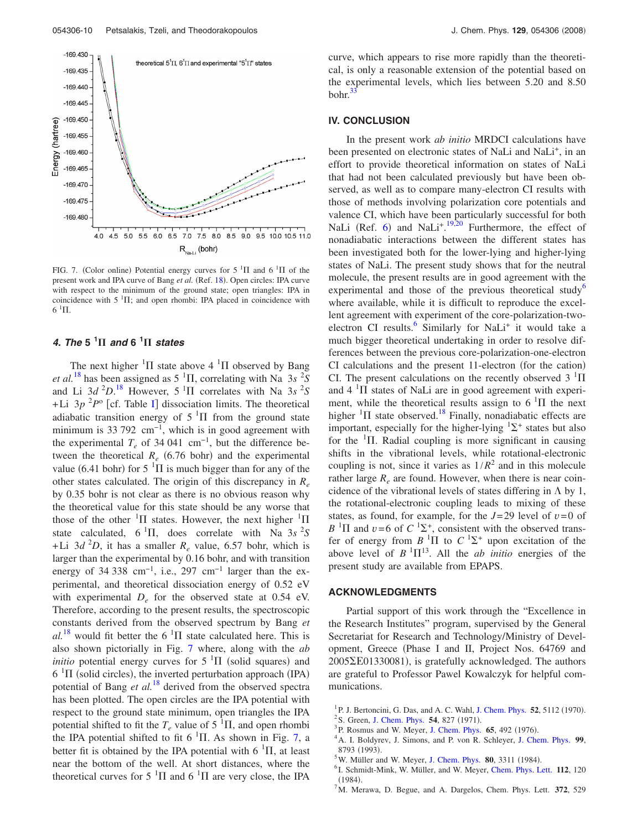<span id="page-9-5"></span>

FIG. 7. (Color online) Potential energy curves for  $5 \text{ }^1\Pi$  and  $6 \text{ }^1\Pi$  of the present work and IPA curve of Bang et al. (Ref. [18](#page-10-10)). Open circles: IPA curve with respect to the minimum of the ground state; open triangles: IPA in coincidence with  $5<sup>-1</sup>\Pi$ ; and open rhombi: IPA placed in coincidence with  $6~^1\Pi$ .

# *4. The* **5 <sup>1</sup>** *and* **6 <sup>1</sup>** *states*

The next higher  ${}^{1}\Pi$  state above 4  ${}^{1}\Pi$  observed by Bang *et al.*<sup>[18](#page-10-10)</sup> has been assigned as  $5<sup>1</sup>\Pi$ , correlating with Na 3*s* <sup>2</sup>*S* and Li  $3d^2D$ <sup>[18](#page-10-10)</sup> However,  $5 \text{ }^1\Pi$  correlates with Na  $3s^2S$  $+Li$  3*p* <sup>2</sup>*P*<sup>o</sup> [cf. Table [I](#page-1-0)] dissociation limits. The theoretical adiabatic transition energy of  $5<sup>1</sup>\Pi$  from the ground state minimum is 33 792  $cm^{-1}$ , which is in good agreement with the experimental  $T_e$  of 34 041 cm<sup>-1</sup>, but the difference between the theoretical  $R_e$  (6.76 bohr) and the experimental value (6.41 bohr) for  $5<sup>1</sup>\Pi$  is much bigger than for any of the other states calculated. The origin of this discrepancy in *Re* by 0.35 bohr is not clear as there is no obvious reason why the theoretical value for this state should be any worse that those of the other  $\frac{1}{1}$  states. However, the next higher  $\frac{1}{1}$ state calculated,  $6 \text{ }^1\Pi$ , does correlate with Na  $3s \text{ }^2S$ +Li  $3d^2D$ , it has a smaller  $R_e$  value, 6.57 bohr, which is larger than the experimental by 0.16 bohr, and with transition energy of 34 338 cm<sup>-1</sup>, i.e., 297 cm<sup>-1</sup> larger than the experimental, and theoretical dissociation energy of 0.52 eV with experimental  $D_e$  for the observed state at 0.54 eV. Therefore, according to the present results, the spectroscopic constants derived from the observed spectrum by Bang *et*  $al.^{18}$  $al.^{18}$  $al.^{18}$  would fit better the 6<sup>1</sup> $\Pi$  state calculated here. This is also shown pictorially in Fig. [7](#page-9-5) where, along with the *ab initio* potential energy curves for  $5<sup>1</sup>\Pi$  (solid squares) and  $6<sup>1</sup>\Pi$  (solid circles), the inverted perturbation approach (IPA) potential of Bang *et al.*[18](#page-10-10) derived from the observed spectra has been plotted. The open circles are the IPA potential with respect to the ground state minimum, open triangles the IPA potential shifted to fit the  $T_e$  value of 5<sup>1</sup> $\Pi$ , and open rhombi the IPA potential shifted to fit 6  $^1\Pi$ . As shown in Fig. [7,](#page-9-5) a better fit is obtained by the IPA potential with  $6<sup>1</sup>\Pi$ , at least near the bottom of the well. At short distances, where the theoretical curves for  $5<sup>1</sup>\Pi$  and  $6<sup>1</sup>\Pi$  are very close, the IPA

curve, which appears to rise more rapidly than the theoretical, is only a reasonable extension of the potential based on the experimental levels, which lies between 5.20 and 8.50  $bohr.<sup>33</sup>$ 

### **IV. CONCLUSION**

In the present work *ab initio* MRDCI calculations have been presented on electronic states of NaLi and NaLi<sup>+</sup>, in an effort to provide theoretical information on states of NaLi that had not been calculated previously but have been observed, as well as to compare many-electron CI results with those of methods involving polarization core potentials and valence CI, which have been particularly successful for both NaLi (Ref. [6](#page-9-4)) and NaLi<sup>+ [19,](#page-10-11)[20](#page-10-12)</sup> Furthermore, the effect of nonadiabatic interactions between the different states has been investigated both for the lower-lying and higher-lying states of NaLi. The present study shows that for the neutral molecule, the present results are in good agreement with the experimental and those of the previous theoretical study<sup>o</sup> where available, while it is difficult to reproduce the excellent agreement with experiment of the core-polarization-twoelectron CI results. $\frac{6}{5}$  Similarly for NaLi<sup>+</sup> it would take a much bigger theoretical undertaking in order to resolve differences between the previous core-polarization-one-electron CI calculations and the present 11-electron (for the cation) CI. The present calculations on the recently observed  $3<sup>1</sup>\Pi$ and  $4 \text{ }^{1}\Pi$  states of NaLi are in good agreement with experiment, while the theoretical results assign to  $6<sup>1</sup>\Pi$  the next higher  $\frac{1}{1}$  state observed.<sup>18</sup> Finally, nonadiabatic effects are important, especially for the higher-lying  ${}^{1}\Sigma^{+}$  states but also for the  $1$ II. Radial coupling is more significant in causing shifts in the vibrational levels, while rotational-electronic coupling is not, since it varies as  $1/R^2$  and in this molecule rather large  $R_e$  are found. However, when there is near coincidence of the vibrational levels of states differing in  $\Lambda$  by 1, the rotational-electronic coupling leads to mixing of these states, as found, for example, for the  $J=29$  level of  $v=0$  of  $B$ <sup>1</sup> $\Pi$  and  $v=6$  of  $C$ <sup>1</sup> $\Sigma$ <sup>+</sup>, consistent with the observed transfer of energy from  $B$  <sup>1</sup> $\Pi$  to  $C$  <sup>1</sup> $\Sigma$ <sup>+</sup> upon excitation of the above level of  $B<sup>1</sup> \Pi<sup>13</sup>$ . All the *ab initio* energies of the present study are available from EPAPS.

#### **ACKNOWLEDGMENTS**

Partial support of this work through the "Excellence in the Research Institutes" program, supervised by the General Secretariat for Research and Technology/Ministry of Development, Greece Phase I and II, Project Nos. 64769 and 2005 [E01330081], is gratefully acknowledged. The authors are grateful to Professor Pawel Kowalczyk for helpful communications.

- <span id="page-9-0"></span><sup>1</sup> P. J. Bertoncini, G. Das, and A. C. Wahl, [J. Chem. Phys.](http://dx.doi.org/10.1063/1.1672750) **52**, 5112 (1970).
- <sup>2</sup> S. Green, [J. Chem. Phys.](http://dx.doi.org/10.1063/1.1675005) **54**, 827 (1971).<br><sup>3</sup> B. Bosmus and W. Mover, J. Chem. Phys.
- $P^3$ P. Rosmus and W. Meyer, [J. Chem. Phys.](http://dx.doi.org/10.1063/1.432746) **65**, 492 (1976).
- <span id="page-9-1"></span>A. I. Boldyrev, J. Simons, and P. von R. Schleyer, [J. Chem. Phys.](http://dx.doi.org/10.1063/1.465600) **99**,  $^{5}_{5}W$  Müller er
- <span id="page-9-2"></span><sup>5</sup> W. Müller and W. Meyer, [J. Chem. Phys.](http://dx.doi.org/10.1063/1.447084) **80**, 3311 (1984).
- <span id="page-9-4"></span><sup>6</sup>I. Schmidt-Mink, W. Müller, and W. Meyer, [Chem. Phys. Lett.](http://dx.doi.org/10.1016/0009-2614(84)85005-8) 112, 120  $(1984).$
- <span id="page-9-3"></span>. <sup>7</sup> M. Merawa, D. Begue, and A. Dargelos, Chem. Phys. Lett. **372**, 529